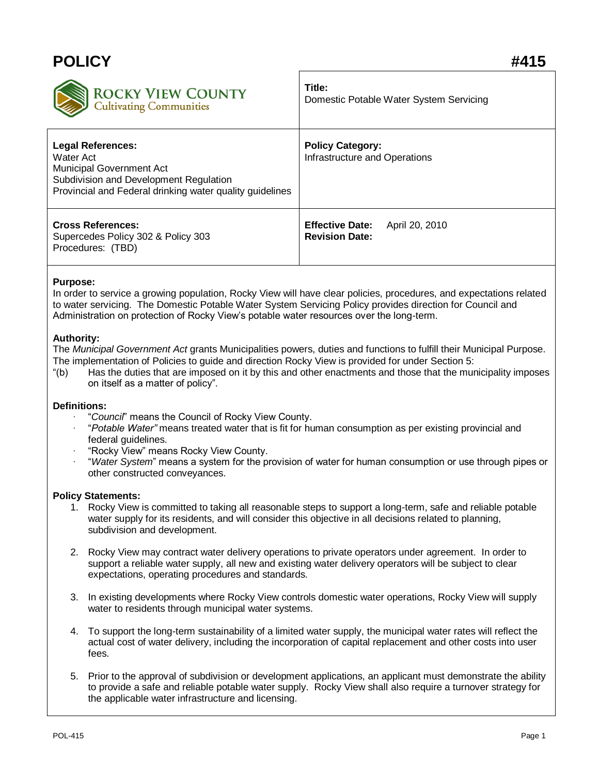| <b>POLICY</b>                                                                                                                                                           |                                                          |
|-------------------------------------------------------------------------------------------------------------------------------------------------------------------------|----------------------------------------------------------|
| <b>ROCKY VIEW COUNTY</b>                                                                                                                                                | Title:                                                   |
| Cultivating Communities                                                                                                                                                 | Domestic Potable Water System Servicing                  |
| <b>Legal References:</b><br>Water Act<br>Municipal Government Act<br>Subdivision and Development Regulation<br>Provincial and Federal drinking water quality guidelines | <b>Policy Category:</b><br>Infrastructure and Operations |
| <b>Cross References:</b>                                                                                                                                                | <b>Effective Date:</b>                                   |
| Supercedes Policy 302 & Policy 303                                                                                                                                      | April 20, 2010                                           |
| Procedures: (TBD)                                                                                                                                                       | <b>Revision Date:</b>                                    |

## **Purpose:**

In order to service a growing population, Rocky View will have clear policies, procedures, and expectations related to water servicing. The Domestic Potable Water System Servicing Policy provides direction for Council and Administration on protection of Rocky View's potable water resources over the long-term.

## **Authority:**

The *Municipal Government Act* grants Municipalities powers, duties and functions to fulfill their Municipal Purpose. The implementation of Policies to guide and direction Rocky View is provided for under Section 5:

"(b) Has the duties that are imposed on it by this and other enactments and those that the municipality imposes on itself as a matter of policy".

## **Definitions:**

- · "*Council*" means the Council of Rocky View County.
- · "*Potable Water"* means treated water that is fit for human consumption as per existing provincial and federal guidelines.
- · "Rocky View" means Rocky View County.
- · "*Water System*" means a system for the provision of water for human consumption or use through pipes or other constructed conveyances.

## **Policy Statements:**

- 1. Rocky View is committed to taking all reasonable steps to support a long-term, safe and reliable potable water supply for its residents, and will consider this objective in all decisions related to planning, subdivision and development.
- 2. Rocky View may contract water delivery operations to private operators under agreement. In order to support a reliable water supply, all new and existing water delivery operators will be subject to clear expectations, operating procedures and standards.
- 3. In existing developments where Rocky View controls domestic water operations, Rocky View will supply water to residents through municipal water systems.
- 4. To support the long-term sustainability of a limited water supply, the municipal water rates will reflect the actual cost of water delivery, including the incorporation of capital replacement and other costs into user fees.
- 5. Prior to the approval of subdivision or development applications, an applicant must demonstrate the ability to provide a safe and reliable potable water supply. Rocky View shall also require a turnover strategy for the applicable water infrastructure and licensing.